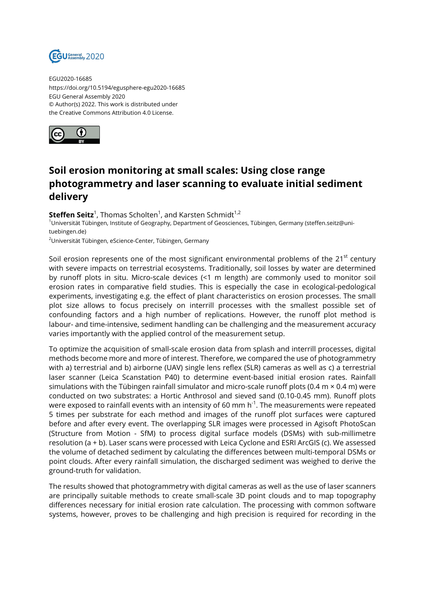

EGU2020-16685 https://doi.org/10.5194/egusphere-egu2020-16685 EGU General Assembly 2020 © Author(s) 2022. This work is distributed under the Creative Commons Attribution 4.0 License.



## **Soil erosion monitoring at small scales: Using close range photogrammetry and laser scanning to evaluate initial sediment delivery**

 $\mathsf{Steffen}\ \mathsf{Seitz}^1$ , Thomas Scholten<sup>1</sup>, and Karsten Schmidt<sup>1,2</sup> <sup>1</sup>Universität Tübingen, Institute of Geography, Department of Geosciences, Tübingen, Germany (steffen.seitz@unituebingen.de) <sup>2</sup>Universität Tübingen, eScience-Center, Tübingen, Germany

Soil erosion represents one of the most significant environmental problems of the  $21<sup>st</sup>$  century with severe impacts on terrestrial ecosystems. Traditionally, soil losses by water are determined by runoff plots in situ. Micro-scale devices (<1 m length) are commonly used to monitor soil erosion rates in comparative field studies. This is especially the case in ecological-pedological experiments, investigating e.g. the effect of plant characteristics on erosion processes. The small plot size allows to focus precisely on interrill processes with the smallest possible set of confounding factors and a high number of replications. However, the runoff plot method is labour- and time-intensive, sediment handling can be challenging and the measurement accuracy varies importantly with the applied control of the measurement setup.

To optimize the acquisition of small-scale erosion data from splash and interrill processes, digital methods become more and more of interest. Therefore, we compared the use of photogrammetry with a) terrestrial and b) airborne (UAV) single lens reflex (SLR) cameras as well as c) a terrestrial laser scanner (Leica Scanstation P40) to determine event-based initial erosion rates. Rainfall simulations with the Tübingen rainfall simulator and micro-scale runoff plots (0.4 m  $\times$  0.4 m) were conducted on two substrates: a Hortic Anthrosol and sieved sand (0.10-0.45 mm). Runoff plots were exposed to rainfall events with an intensity of 60 mm  $h^{-1}$ . The measurements were repeated 5 times per substrate for each method and images of the runoff plot surfaces were captured before and after every event. The overlapping SLR images were processed in Agisoft PhotoScan (Structure from Motion - SfM) to process digital surface models (DSMs) with sub-millimetre resolution (a + b). Laser scans were processed with Leica Cyclone and ESRI ArcGIS (c). We assessed the volume of detached sediment by calculating the differences between multi-temporal DSMs or point clouds. After every rainfall simulation, the discharged sediment was weighed to derive the ground-truth for validation.

The results showed that photogrammetry with digital cameras as well as the use of laser scanners are principally suitable methods to create small-scale 3D point clouds and to map topography differences necessary for initial erosion rate calculation. The processing with common software systems, however, proves to be challenging and high precision is required for recording in the